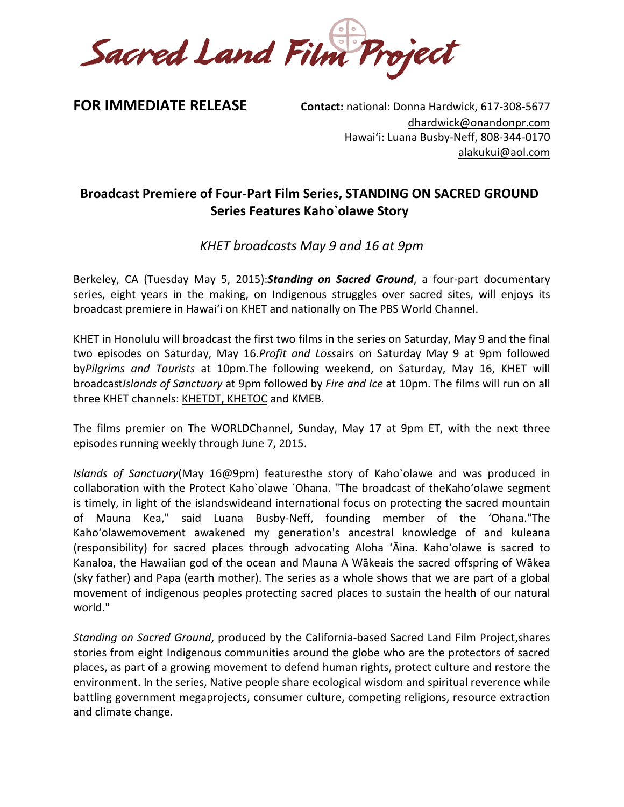Sacred Land Film Project

**FOR IMMEDIATE RELEASE Contact: national: Donna Hardwick, 617-308-5677** [dhardwick@onandonpr.com](mailto:dhardwick@onandonpr.com) Hawaiʻi: Luana Busby-Neff, 808-344-0170 alakukui@aol.com

# **Broadcast Premiere of Four-Part Film Series, STANDING ON SACRED GROUND Series Features Kaho`olawe Story**

*KHET broadcasts May 9 and 16 at 9pm*

Berkeley, CA (Tuesday May 5, 2015):*Standing on Sacred Ground*, a four-part documentary series, eight years in the making, on Indigenous struggles over sacred sites, will enjoys its broadcast premiere in Hawaiʻi on KHET and nationally on The PBS World Channel.

KHET in Honolulu will broadcast the first two films in the series on Saturday, May 9 and the final two episodes on Saturday, May 16.*Profit and Loss*airs on Saturday May 9 at 9pm followed by*Pilgrims and Tourists* at 10pm.The following weekend, on Saturday, May 16, KHET will broadcast*Islands of Sanctuary* at 9pm followed by *Fire and Ice* at 10pm. The films will run on all three KHET channels: [KHETDT](http://pbshawaii.org/schedule/), [KHETOC](http://pbshawaii.org/schedule/) and KMEB.

The films premier on The WORLDChannel, Sunday, May 17 at 9pm ET, with the next three episodes running weekly through June 7, 2015.

*Islands of Sanctuary*(May 16@9pm) featuresthe story of Kaho`olawe and was produced in collaboration with the Protect Kaho`olawe `Ohana. "The broadcast of theKahoʻolawe segment is timely, in light of the islandswideand international focus on protecting the sacred mountain of Mauna Kea," said Luana Busby-Neff, founding member of the ʻOhana."The Kahoʻolawemovement awakened my generation's ancestral knowledge of and kuleana (responsibility) for sacred places through advocating Aloha ʻĀina. Kahoʻolawe is sacred to Kanaloa, the Hawaiian god of the ocean and Mauna A Wākeais the sacred offspring of Wākea (sky father) and Papa (earth mother). The series as a whole shows that we are part of a global movement of indigenous peoples protecting sacred places to sustain the health of our natural world."

*Standing on Sacred Ground*, produced by the California-based Sacred Land Film Project,shares stories from eight Indigenous communities around the globe who are the protectors of sacred places, as part of a growing movement to defend human rights, protect culture and restore the environment. In the series, Native people share ecological wisdom and spiritual reverence while battling government megaprojects, consumer culture, competing religions, resource extraction and climate change.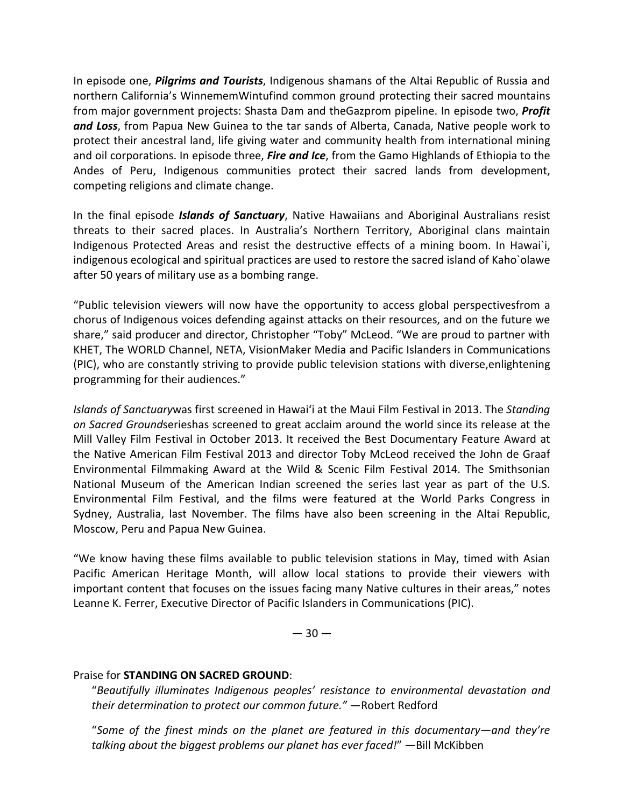In episode one, *Pilgrims and Tourists*, Indigenous shamans of the Altai Republic of Russia and northern California's WinnememWintufind common ground protecting their sacred mountains from major government projects: Shasta Dam and theGazprom pipeline. In episode two, *Profit and Loss*, from Papua New Guinea to the tar sands of Alberta, Canada, Native people work to protect their ancestral land, life giving water and community health from international mining and oil corporations. In episode three, *Fire and Ice*, from the Gamo Highlands of Ethiopia to the Andes of Peru, Indigenous communities protect their sacred lands from development, competing religions and climate change.

In the final episode *Islands of Sanctuary*, Native Hawaiians and Aboriginal Australians resist threats to their sacred places. In Australia's Northern Territory, Aboriginal clans maintain Indigenous Protected Areas and resist the destructive effects of a mining boom. In Hawai`i, indigenous ecological and spiritual practices are used to restore the sacred island of Kaho`olawe after 50 years of military use as a bombing range.

"Public television viewers will now have the opportunity to access global perspectivesfrom a chorus of Indigenous voices defending against attacks on their resources, and on the future we share," said producer and director, Christopher "Toby" McLeod. "We are proud to partner with KHET, The WORLD Channel, NETA, VisionMaker Media and Pacific Islanders in Communications (PIC), who are constantly striving to provide public television stations with diverse,enlightening programming for their audiences."

*Islands of Sanctuary*was first screened in Hawaiʻi at the Maui Film Festival in 2013. The *Standing on Sacred Ground*serieshas screened to great acclaim around the world since its release at the Mill Valley Film Festival in October 2013. It received the Best Documentary Feature Award at the Native American Film Festival 2013 and director Toby McLeod received the John de Graaf Environmental Filmmaking Award at the Wild & Scenic Film Festival 2014. The Smithsonian National Museum of the American Indian screened the series last year as part of the U.S. Environmental Film Festival, and the films were featured at the World Parks Congress in Sydney, Australia, last November. The films have also been screening in the Altai Republic, Moscow, Peru and Papua New Guinea.

"We know having these films available to public television stations in May, timed with Asian Pacific American Heritage Month, will allow local stations to provide their viewers with important content that focuses on the issues facing many Native cultures in their areas," notes Leanne K. Ferrer, Executive Director of Pacific Islanders in Communications (PIC).

 $-30-$ 

## Praise for **STANDING ON SACRED GROUND**:

"*Beautifully illuminates Indigenous peoples' resistance to environmental devastation and their determination to protect our common future."* —Robert Redford

"*Some of the finest minds on the planet are featured in this documentary—and they're talking about the biggest problems our planet has ever faced!*" —Bill McKibben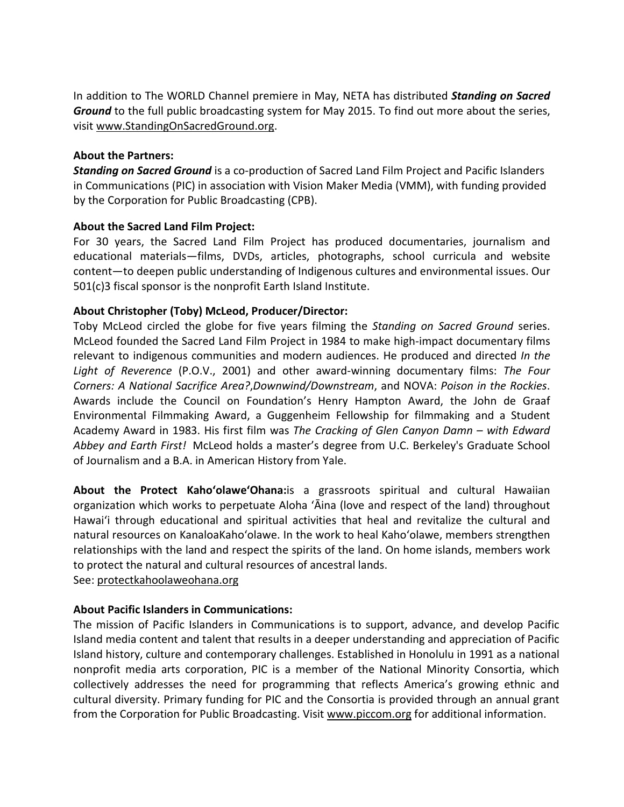In addition to The WORLD Channel premiere in May, NETA has distributed *Standing on Sacred Ground* to the full public broadcasting system for May 2015. To find out more about the series, visit [www.StandingOnSacredGround.org](http://www.standingonsacredground.org/).

## **About the Partners:**

*Standing on Sacred Ground* is a co-production of Sacred Land Film Project and Pacific Islanders in Communications (PIC) in association with Vision Maker Media (VMM), with funding provided by the Corporation for Public Broadcasting (CPB).

## **About the Sacred Land Film Project:**

For 30 years, the Sacred Land Film Project has produced documentaries, journalism and educational materials—films, DVDs, articles, photographs, school curricula and website content—to deepen public understanding of Indigenous cultures and environmental issues. Our 501(c)3 fiscal sponsor is the nonprofit Earth Island Institute.

# **About Christopher (Toby) McLeod, Producer/Director:**

Toby McLeod circled the globe for five years filming the *Standing on Sacred Ground* series. McLeod founded the Sacred Land Film Project in 1984 to make high-impact documentary films relevant to indigenous communities and modern audiences. He produced and directed *In the Light of Reverence* (P.O.V., 2001) and other award-winning documentary films: *The Four Corners: A National Sacrifice Area?*,*Downwind/Downstream*, and NOVA: *Poison in the Rockies*. Awards include the Council on Foundation's Henry Hampton Award, the John de Graaf Environmental Filmmaking Award, a Guggenheim Fellowship for filmmaking and a Student Academy Award in 1983. His first film was *The Cracking of Glen Canyon Damn – with Edward Abbey and Earth First!* McLeod holds a master's degree from U.C. Berkeley's Graduate School of Journalism and a B.A. in American History from Yale.

**About the Protect KahoʻolaweʻOhana:**is a grassroots spiritual and cultural Hawaiian organization which works to perpetuate Aloha ʻĀina (love and respect of the land) throughout Hawaiʻi through educational and spiritual activities that heal and revitalize the cultural and natural resources on KanaloaKahoʻolawe. In the work to heal Kahoʻolawe, members strengthen relationships with the land and respect the spirits of the land. On home islands, members work to protect the natural and cultural resources of ancestral lands.

See: protectkahoolaweohana.org

## **About Pacific Islanders in Communications:**

The mission of Pacific Islanders in Communications is to support, advance, and develop Pacific Island media content and talent that results in a deeper understanding and appreciation of Pacific Island history, culture and contemporary challenges. Established in Honolulu in 1991 as a national nonprofit media arts corporation, PIC is a member of the National Minority Consortia, which collectively addresses the need for programming that reflects America's growing ethnic and cultural diversity. Primary funding for PIC and the Consortia is provided through an annual grant from the Corporation for Public Broadcasting. Visit [www.piccom.org](http://www.piccom.org/) for additional information.